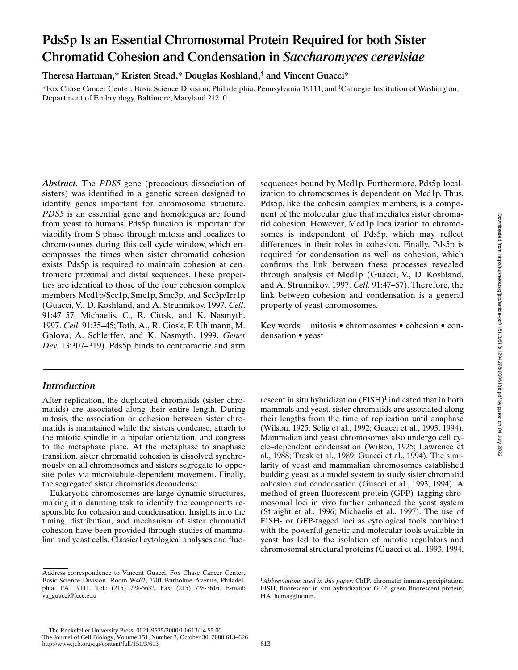# **Pds5p Is an Essential Chromosomal Protein Required for both Sister Chromatid Cohesion and Condensation in** *Saccharomyces cerevisiae*

**Theresa Hartman,\* Kristen Stead,\* Douglas Koshland,‡ and Vincent Guacci\***

\*Fox Chase Cancer Center, Basic Science Division, Philadelphia, Pennsylvania 19111; and ‡ Carnegie Institution of Washington, Department of Embryology, Baltimore, Maryland 21210

*Abstract.* The *PDS5* gene (precocious dissociation of sisters) was identified in a genetic screen designed to identify genes important for chromosome structure. *PDS5* is an essential gene and homologues are found from yeast to humans. Pds5p function is important for viability from S phase through mitosis and localizes to chromosomes during this cell cycle window, which encompasses the times when sister chromatid cohesion exists. Pds5p is required to maintain cohesion at centromere proximal and distal sequences. These properties are identical to those of the four cohesion complex members Mcd1p/Scc1p, Smc1p, Smc3p, and Scc3p/Irr1p (Guacci, V., D. Koshland, and A. Strunnikov. 1997. *Cell*. 91:47–57; Michaelis, C., R. Ciosk, and K. Nasmyth. 1997. *Cell*. 91:35–45; Toth, A., R. Ciosk, F. Uhlmann, M. Galova, A. Schleiffer, and K. Nasmyth. 1999. *Genes Dev*. 13:307–319). Pds5p binds to centromeric and arm

## *Introduction*

After replication, the duplicated chromatids (sister chromatids) are associated along their entire length. During mitosis, the association or cohesion between sister chromatids is maintained while the sisters condense, attach to the mitotic spindle in a bipolar orientation, and congress to the metaphase plate. At the metaphase to anaphase transition, sister chromatid cohesion is dissolved synchronously on all chromosomes and sisters segregate to opposite poles via microtubule-dependent movement. Finally, the segregated sister chromatids decondense.

Eukaryotic chromosomes are large dynamic structures, making it a daunting task to identify the components responsible for cohesion and condensation. Insights into the timing, distribution, and mechanism of sister chromatid cohesion have been provided through studies of mammalian and yeast cells. Classical cytological analyses and fluosequences bound by Mcd1p. Furthermore, Pds5p localization to chromosomes is dependent on Mcd1p. Thus, Pds5p, like the cohesin complex members, is a component of the molecular glue that mediates sister chromatid cohesion. However, Mcd1p localization to chromosomes is independent of Pds5p, which may reflect differences in their roles in cohesion. Finally, Pds5p is required for condensation as well as cohesion, which confirms the link between these processes revealed through analysis of Mcd1p (Guacci, V., D. Koshland, and A. Strunnikov. 1997. *Cell*. 91:47–57). Therefore, the link between cohesion and condensation is a general property of yeast chromosomes.

Key words: mitosis • chromosomes • cohesion • condensation • yeast

rescent in situ hybridization (FISH)<sup>1</sup> indicated that in both mammals and yeast, sister chromatids are associated along their lengths from the time of replication until anaphase (Wilson, 1925; Selig et al., 1992; Guacci et al., 1993, 1994). Mammalian and yeast chromosomes also undergo cell cycle–dependent condensation (Wilson, 1925; Lawrence et al., 1988; Trask et al., 1989; Guacci et al., 1994). The similarity of yeast and mammalian chromosomes established budding yeast as a model system to study sister chromatid cohesion and condensation (Guacci et al., 1993, 1994). A method of green fluorescent protein (GFP)–tagging chromosomal loci in vivo further enhanced the yeast system (Straight et al., 1996; Michaelis et al., 1997). The use of FISH- or GFP-tagged loci as cytological tools combined with the powerful genetic and molecular tools available in yeast has led to the isolation of mitotic regulators and chromosomal structural proteins (Guacci et al., 1993, 1994,

Address correspondence to Vincent Guacci, Fox Chase Cancer Center, Basic Science Division, Room W462, 7701 Burholme Avenue, Philadelphia, PA 19111. Tel.: (215) 728-5632. Fax: (215) 728-3616. E-mail: va\_guacci@fccc.edu

<sup>&</sup>lt;sup>1</sup>Abbreviations used in this paper: ChIP, chromatin immunoprecipitation; FISH, fluorescent in situ hybridization; GFP, green fluorescent protein; HA, hemagglutinin.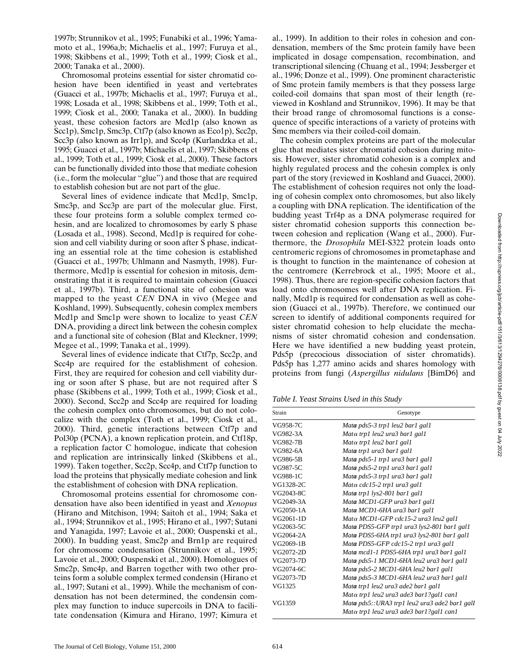1997b; Strunnikov et al., 1995; Funabiki et al., 1996; Yamamoto et al., 1996a,b; Michaelis et al., 1997; Furuya et al., 1998; Skibbens et al., 1999; Toth et al., 1999; Ciosk et al., 2000; Tanaka et al., 2000).

Chromosomal proteins essential for sister chromatid cohesion have been identified in yeast and vertebrates (Guacci et al., 1997b; Michaelis et al., 1997; Furuya et al., 1998; Losada et al., 1998; Skibbens et al., 1999; Toth et al., 1999; Ciosk et al., 2000; Tanaka et al., 2000). In budding yeast, these cohesion factors are Mcd1p (also known as Scc1p), Smc1p, Smc3p, Ctf7p (also known as Eco1p), Scc2p, Scc3p (also known as Irr1p), and Scc4p (Kurlandzka et al., 1995; Guacci et al., 1997b; Michaelis et al., 1997; Skibbens et al., 1999; Toth et al., 1999; Ciosk et al., 2000). These factors can be functionally divided into those that mediate cohesion (i.e., form the molecular "glue") and those that are required to establish cohesion but are not part of the glue.

Several lines of evidence indicate that Mcd1p, Smc1p, Smc3p, and Scc3p are part of the molecular glue. First, these four proteins form a soluble complex termed cohesin, and are localized to chromosomes by early S phase (Losada et al., 1998). Second, Mcd1p is required for cohesion and cell viability during or soon after S phase, indicating an essential role at the time cohesion is established (Guacci et al., 1997b; Uhlmann and Nasmyth, 1998). Furthermore, Mcd1p is essential for cohesion in mitosis, demonstrating that it is required to maintain cohesion (Guacci et al., 1997b). Third, a functional site of cohesion was mapped to the yeast *CEN* DNA in vivo (Megee and Koshland, 1999). Subsequently, cohesin complex members Mcd1p and Smc1p were shown to localize to yeast *CEN* DNA, providing a direct link between the cohesin complex and a functional site of cohesion (Blat and Kleckner, 1999; Megee et al., 1999; Tanaka et al., 1999).

Several lines of evidence indicate that Ctf7p, Scc2p, and Scc4p are required for the establishment of cohesion. First, they are required for cohesion and cell viability during or soon after S phase, but are not required after S phase (Skibbens et al., 1999; Toth et al., 1999; Ciosk et al., 2000). Second, Scc2p and Scc4p are required for loading the cohesin complex onto chromosomes, but do not colocalize with the complex (Toth et al., 1999; Ciosk et al., 2000). Third, genetic interactions between Ctf7p and Pol30p (PCNA), a known replication protein, and Ctf18p, a replication factor C homologue, indicate that cohesion and replication are intrinsically linked (Skibbens et al., 1999). Taken together, Scc2p, Scc4p, and Ctf7p function to load the proteins that physically mediate cohesion and link the establishment of cohesion with DNA replication.

Chromosomal proteins essential for chromosome condensation have also been identified in yeast and *Xenopus* (Hirano and Mitchison, 1994; Saitoh et al., 1994; Saka et al., 1994; Strunnikov et al., 1995; Hirano et al., 1997; Sutani and Yanagida, 1997; Lavoie et al., 2000; Ouspenski et al., 2000). In budding yeast, Smc2p and Brn1p are required for chromosome condensation (Strunnikov et al., 1995; Lavoie et al., 2000; Ouspenski et al., 2000). Homologues of Smc2p, Smc4p, and Barren together with two other proteins form a soluble complex termed condensin (Hirano et al., 1997; Sutani et al., 1999). While the mechanism of condensation has not been determined, the condensin complex may function to induce supercoils in DNA to facilitate condensation (Kimura and Hirano, 1997; Kimura et

al., 1999). In addition to their roles in cohesion and condensation, members of the Smc protein family have been implicated in dosage compensation, recombination, and transcriptional silencing (Chuang et al., 1994; Jessberger et al., 1996; Donze et al., 1999). One prominent characteristic of Smc protein family members is that they possess large coiled-coil domains that span most of their length (reviewed in Koshland and Strunnikov, 1996). It may be that their broad range of chromosomal functions is a consequence of specific interactions of a variety of proteins with Smc members via their coiled-coil domain.

The cohesin complex proteins are part of the molecular glue that mediates sister chromatid cohesion during mitosis. However, sister chromatid cohesion is a complex and highly regulated process and the cohesin complex is only part of the story (reviewed in Koshland and Guacci, 2000). The establishment of cohesion requires not only the loading of cohesin complex onto chromosomes, but also likely a coupling with DNA replication. The identification of the budding yeast Trf4p as a DNA polymerase required for sister chromatid cohesion supports this connection between cohesion and replication (Wang et al., 2000). Furthermore, the *Drosophila* MEI-S322 protein loads onto centromeric regions of chromosomes in prometaphase and is thought to function in the maintenance of cohesion at the centromere (Kerrebrock et al., 1995; Moore et al., 1998). Thus, there are region-specific cohesion factors that load onto chromosomes well after DNA replication. Finally, Mcd1p is required for condensation as well as cohesion (Guacci et al., 1997b). Therefore, we continued our screen to identify of additional components required for sister chromatid cohesion to help elucidate the mechanisms of sister chromatid cohesion and condensation. Here we have identified a new budding yeast protein, Pds5p (precocious dissociation of sister chromatids). Pds5p has 1,277 amino acids and shares homology with proteins from fungi (*Aspergillus nidulans* {BimD6} and

*Table I. Yeast Strains Used in this Study*

| Strain    | Genotype                                      |
|-----------|-----------------------------------------------|
| VG958-7C  | Mata pds5-3 trp1 leu2 bar1 gal1               |
| VG982-3A  | Matα trp1 leu2 ura3 bar1 gal1                 |
| VG982-7B  | $Mat\alpha$ trp1 leu2 bar1 gal1               |
| VG982-6A  | Mata trp1 ura3 bar1 gal1                      |
| VG986-5B  | Mata pds5-1 trp1 ura3 bar1 gal1               |
| VG987-5C  | Mata pds5-2 trp1 ura3 bar1 gal1               |
| VG988-1C  | Mata pds5-3 trp1 ura3 bar1 gal1               |
| VG1328-2C | Matα cdc15-2 trp1 ura3 gal1                   |
| VG2043-8C | Mata trp1 lys2-801 bar1 gal1                  |
| VG2049-3A | Mata MCD1-GFP ura3 bar1 gal1                  |
| VG2050-1A | Mata MCD1-6HA ura3 bar1 gal1                  |
| VG2061-1D | Matα MCD1-GFP cdc15-2 ura3 leu2 gal1          |
| VG2063-5C | Mata PDS5-GFP trp1 ura3 lys2-801 bar1 gal1    |
| VG2064-2A | Mata PDS5-6HA trp1 ura3 lys2-801 bar1 gal1    |
| VG2069-1B | Mata PDS5-GFP cdc15-2 trp1 ura3 gal1          |
| VG2072-2D | Mata mcd1-1 PDS5-6HA trp1 ura3 bar1 gal1      |
| VG2073-7D | Mata pds5-1 MCD1-6HA leu2 ura3 bar1 gal1      |
| VG2074-6C | Mata pds5-2 MCD1-6HA leu2 bar1 gal1           |
| VG2073-7D | Mata pds5-3 MCD1-6HA leu2 ura3 bar1 gal1      |
| VG1325    | Mata trp1 leu2 ura3 ade2 bar1 gal1            |
|           | Matα trp1 leu2 ura3 ade3 bar1?gal1 can1       |
| VG1359    | Mata pds5::URA3 trp1 leu2 ura3 ade2 bar1 gall |
|           | Matα trp1 leu2 ura3 ade3 bar1?gal1 can1       |
|           |                                               |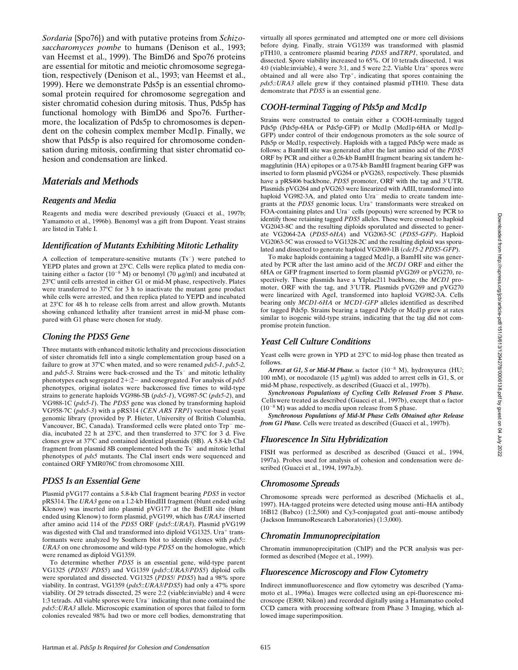*Sordaria* {Spo76}) and with putative proteins from *Schizosaccharomyces pombe* to humans (Denison et al., 1993; van Heemst et al., 1999). The BimD6 and Spo76 proteins are essential for mitotic and meiotic chromosome segregation, respectively (Denison et al., 1993; van Heemst et al., 1999). Here we demonstrate Pds5p is an essential chromosomal protein required for chromosome segregation and sister chromatid cohesion during mitosis. Thus, Pds5p has functional homology with BimD6 and Spo76. Furthermore, the localization of Pds5p to chromosomes is dependent on the cohesin complex member Mcd1p. Finally, we show that Pds5p is also required for chromosome condensation during mitosis, confirming that sister chromatid cohesion and condensation are linked.

## *Materials and Methods*

## *Reagents and Media*

Reagents and media were described previously (Guacci et al., 1997b; Yamamoto et al., 1996b). Benomyl was a gift from Dupont. Yeast strains are listed in Table I.

### *Identification of Mutants Exhibiting Mitotic Lethality*

A collection of temperature-sensitive mutants  $(Ts^{-})$  were patched to YEPD plates and grown at 23°C. Cells were replica plated to media containing either  $\alpha$  factor (10<sup>-8</sup> M) or benomyl (70  $\mu$ g/ml) and incubated at 23°C until cells arrested in either G1 or mid-M phase, respectively. Plates were transferred to 37°C for 3 h to inactivate the mutant gene product while cells were arrested, and then replica plated to YEPD and incubated at  $23^{\circ}$ C for 48 h to release cells from arrest and allow growth. Mutants showing enhanced lethality after transient arrest in mid-M phase compared with G1 phase were chosen for study.

## *Cloning the PDS5 Gene*

Three mutants with enhanced mitotic lethality and precocious dissociation of sister chromatids fell into a single complementation group based on a failure to grow at 378C when mated, and so were renamed *pds5-1*, *pds5-2,* and *pds5-3*. Strains were back-crossed and the Ts<sup>-</sup> and mitotic lethality phenotypes each segregated  $2+2-$  and cosegregated. For analysis of  $pds5$ phenotypes, original isolates were backcrossed five times to wild-type strains to generate haploids VG986-5B (*pds5-1*), VG987-5C (*pds5-2*), and VG988-1C (*pds5-1*). The *PDS5* gene was cloned by transforming haploid VG958-7C (*pds5-3*) with a pRS314 (*CEN ARS TRP1*) vector-based yeast genomic library (provided by P. Hieter, University of British Columbia, Vancouver, BC, Canada). Transformed cells were plated onto Trp<sup>-</sup> media, incubated 22 h at  $23^{\circ}$ C, and then transferred to  $37^{\circ}$ C for 3 d. Five clones grew at 37°C and contained identical plasmids (8B). A 5.8-kb ClaI fragment from plasmid 8B complemented both the Ts<sup>-</sup> and mitotic lethal phenotypes of *pds5* mutants. The ClaI insert ends were sequenced and contained ORF YMR076C from chromosome XIII.

## *PDS5 Is an Essential Gene*

Plasmid pVG177 contains a 5.8-kb ClaI fragment bearing *PDS5* in vector pRS314. The *URA3* gene on a 1.2-kb HindIII fragment (blunt ended using Klenow) was inserted into plasmid pVG177 at the BstEII site (blunt ended using Klenow) to form plasmid, pVG199, which has *URA3* inserted after amino acid 114 of the *PDS5* ORF (*pds5*::*URA3*). Plasmid pVG199 was digested with ClaI and transformed into diploid VG1325. Ura<sup>+</sup> transformants were analyzed by Southern blot to identify clones with *pds5*:: *URA3* on one chromosome and wild-type *PDS5* on the homologue, which were renamed as diploid VG1359.

To determine whether *PDS5* is an essential gene, wild-type parent VG1325 (*PDS5*/ *PDS5*) and VG1359 (*pds5*::*URA3*/*PDS5*) diploid cells were sporulated and dissected. VG1325 (*PDS5*/ *PDS5*) had a 98% spore viability. In contrast, VG1359 (*pds5*::*URA3*/*PDS5*) had only a 47% spore viability. Of 29 tetrads dissected, 25 were 2:2 (viable:inviable) and 4 were 1:3 tetrads. All viable spores were Ura<sup>-</sup> indicating that none contained the *pds5::URA3* allele. Microscopic examination of spores that failed to form colonies revealed 98% had two or more cell bodies, demonstrating that

virtually all spores germinated and attempted one or more cell divisions before dying. Finally, strain VG1359 was transformed with plasmid pTH10, a centromere plasmid bearing *PDS5* and*TRP1*, sporulated, and dissected. Spore viability increased to 65%. Of 10 tetrads dissected, 1 was 4:0 (viable: inviable), 4 were 3:1, and 5 were 2:2. Viable  $Ura<sup>+</sup>$  spores were obtained and all were also  $Trp^{+}$ , indicating that spores containing the *pds5::URA3* allele grew if they contained plasmid pTH10. These data demonstrate that *PDS5* is an essential gene.

## *COOH-terminal Tagging of Pds5p and Mcd1p*

Strains were constructed to contain either a COOH-terminally tagged Pds5p (Pds5p-6HA or Pds5p-GFP) or Mcd1p (Mcd1p-6HA or Mcd1p-GFP) under control of their endogenous promoters as the sole source of Pds5p or Mcd1p, respectively. Haploids with a tagged Pds5p were made as follows: a BamHI site was generated after the last amino acid of the *PDS5* ORF by PCR and either a 0.26-kb BamHI fragment bearing six tandem hemagglutinin (HA) epitopes or a 0.75-kb BamHI fragment bearing GFP was inserted to form plasmid pVG264 or pVG263, respectively. These plasmids have a pRS406 backbone, *PDS5* promoter, ORF with the tag and 3'UTR. Plasmids pVG264 and pVG263 were linearized with AflII, transformed into haploid VG982-3A, and plated onto Ura<sup>-</sup> media to create tandem integrants at the PDS5 genomic locus. Ura<sup>+</sup> transformants were streaked on FOA-containing plates and Ura<sup>-</sup> cells (popouts) were screened by PCR to identify those retaining tagged *PDS5* alleles. These were crossed to haploid VG2043-8C and the resulting diploids sporulated and dissected to generate VG2064-2A (*PDS5-6HA*) and VG2063-5C (*PDS5-GFP)*. Haploid VG2063-5C was crossed to VG1328-2C and the resulting diploid was sporulated and dissected to generate haploid VG2069-1B (*cdc15-2 PDS5-GFP*).

To make haploids containing a tagged Mcd1p, a BamHI site was generated by PCR after the last amino acid of the *MCD1* ORF and either the 6HA or GFP fragment inserted to form plasmid pVG269 or pVG270, respectively. These plasmids have a YIplac211 backbone, the *MCD1* promoter, ORF with the tag, and 3'UTR. Plasmids pVG269 and pVG270 were linearized with AgeI, transformed into haploid VG982-3A. Cells bearing only *MCD1-6HA* or *MCD1-GFP* alleles identified as described for tagged Pds5p. Strains bearing a tagged Pds5p or Mcd1p grew at rates similar to isogenic wild-type strains, indicating that the tag did not compromise protein function.

#### *Yeast Cell Culture Conditions*

Yeast cells were grown in YPD at  $23^{\circ}$ C to mid-log phase then treated as follows.

Arrest at G1, S or Mid-M Phase.  $\alpha$  factor (10<sup>-8</sup> M), hydroxyurea (HU; 100 mM), or nocodazole (15  $\mu$ g/ml) was added to arrest cells in G1, S, or mid-M phase, respectively, as described (Guacci et al., 1997b).

*Synchronous Populations of Cycling Cells Released From S Phase.* Cells were treated as described (Guacci et al., 1997b), except that  $\alpha$  factor  $(10^{-8}$  M) was added to media upon release from S phase.

*Synchronous Populations of Mid-M Phase Cells Obtained after Release from G1 Phase.* Cells were treated as described (Guacci et al., 1997b).

#### *Fluorescence In Situ Hybridization*

FISH was performed as described as described (Guacci et al., 1994, 1997a). Probes used for analysis of cohesion and condensation were described (Guacci et al., 1994, 1997a,b).

#### *Chromosome Spreads*

Chromosome spreads were performed as described (Michaelis et al., 1997). HA-tagged proteins were detected using mouse anti–HA antibody 16B12 (Babco) (1:2,500) and Cy3-conjugated goat anti–mouse antibody (Jackson ImmunoResearch Laboratories) (1:3,000).

#### *Chromatin Immunoprecipitation*

Chromatin immunoprecipitation (ChIP) and the PCR analysis was performed as described (Megee et al., 1999).

#### *Fluorescence Microscopy and Flow Cytometry*

Indirect immunofluorescence and flow cytometry was described (Yamamoto et al., 1996a). Images were collected using an epi-fluorescence microscope (E800; Nikon) and recorded digitally using a Hamamatso cooled CCD camera with processing software from Phase 3 Imaging, which allowed image superimposition.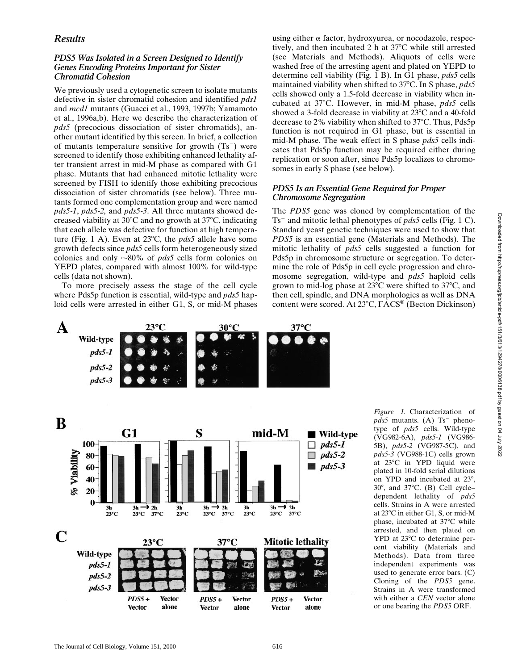## *Results*

## *PDS5 Was Isolated in a Screen Designed to Identify Genes Encoding Proteins Important for Sister Chromatid Cohesion*

We previously used a cytogenetic screen to isolate mutants defective in sister chromatid cohesion and identified *pds1* and *mcd1* mutants (Guacci et al., 1993, 1997b; Yamamoto et al., 1996a,b). Here we describe the characterization of *pds5* (precocious dissociation of sister chromatids), another mutant identified by this screen. In brief, a collection of mutants temperature sensitive for growth  $(Ts^{-})$  were screened to identify those exhibiting enhanced lethality after transient arrest in mid-M phase as compared with G1 phase. Mutants that had enhanced mitotic lethality were screened by FISH to identify those exhibiting precocious dissociation of sister chromatids (see below). Three mutants formed one complementation group and were named *pds5-1*, *pds5-2,* and *pds5-3*. All three mutants showed decreased viability at  $30^{\circ}$ C and no growth at  $37^{\circ}$ C, indicating that each allele was defective for function at high temperature (Fig. 1 A). Even at  $23^{\circ}$ C, the *pds5* allele have some growth defects since *pds5* cells form heterogeneously sized colonies and only  $\sim 80\%$  of *pds5* cells form colonies on YEPD plates, compared with almost 100% for wild-type cells (data not shown).

To more precisely assess the stage of the cell cycle where Pds5p function is essential, wild-type and *pds5* haploid cells were arrested in either G1, S, or mid-M phases using either  $\alpha$  factor, hydroxyurea, or nocodazole, respectively, and then incubated  $2 h$  at  $37^{\circ}$ C while still arrested (see Materials and Methods). Aliquots of cells were washed free of the arresting agent and plated on YEPD to determine cell viability (Fig. 1 B). In G1 phase, *pds5* cells maintained viability when shifted to 37<sup>o</sup>C. In S phase, *pds5* cells showed only a 1.5-fold decrease in viability when incubated at 37°C. However, in mid-M phase, *pds5* cells showed a 3-fold decrease in viability at  $23^{\circ}$ C and a 40-fold decrease to 2% viability when shifted to  $37^{\circ}$ C. Thus, Pds5p function is not required in G1 phase, but is essential in mid-M phase. The weak effect in S phase *pds5* cells indicates that Pds5p function may be required either during replication or soon after, since Pds5p localizes to chromosomes in early S phase (see below).

## *PDS5 Is an Essential Gene Required for Proper Chromosome Segregation*

The *PDS5* gene was cloned by complementation of the Ts<sup>-</sup> and mitotic lethal phenotypes of *pds5* cells (Fig. 1 C). Standard yeast genetic techniques were used to show that *PDS5* is an essential gene (Materials and Methods). The mitotic lethality of *pds5* cells suggested a function for Pds5p in chromosome structure or segregation. To determine the role of Pds5p in cell cycle progression and chromosome segregation, wild-type and *pds5* haploid cells grown to mid-log phase at  $23^{\circ}$ C were shifted to  $37^{\circ}$ C, and then cell, spindle, and DNA morphologies as well as DNA content were scored. At 23°C, FACS® (Becton Dickinson)



*Figure 1.* Characterization of  $pds5$  mutants. (A)  $Ts^-$  phenotype of *pds5* cells. Wild-type (VG982-6A), *pds5-1* (VG986- 5B), *pds5-2* (VG987-5C), and *pds5-3* (VG988-1C) cells grown at 23°C in YPD liquid were plated in 10-fold serial dilutions on YPD and incubated at  $23^\circ$ ,  $30^\circ$ , and  $37^\circ$ C. (B) Cell cycledependent lethality of *pds5* cells. Strains in A were arrested at 23°C in either G1, S, or mid-M phase, incubated at  $37^{\circ}$ C while arrested, and then plated on  $YPD$  at  $23^{\circ}C$  to determine percent viability (Materials and Methods). Data from three independent experiments was used to generate error bars. (C) Cloning of the *PDS5* gene. Strains in A were transformed with either a *CEN* vector alone or one bearing the *PDS5* ORF.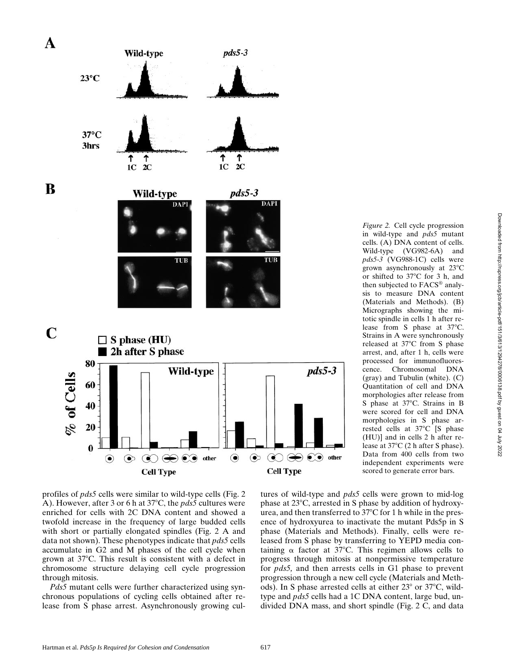

profiles of *pds5* cells were similar to wild-type cells (Fig. 2 A). However, after 3 or 6 h at 37<sup>o</sup>C, the *pds5* cultures were enriched for cells with 2C DNA content and showed a twofold increase in the frequency of large budded cells with short or partially elongated spindles (Fig. 2 A and data not shown). These phenotypes indicate that *pds5* cells accumulate in G2 and M phases of the cell cycle when grown at  $37^{\circ}$ C. This result is consistent with a defect in chromosome structure delaying cell cycle progression through mitosis.

*Pds5* mutant cells were further characterized using synchronous populations of cycling cells obtained after release from S phase arrest. Asynchronously growing cul-

*Figure 2.* Cell cycle progression in wild-type and *pds5* mutant cells. (A) DNA content of cells. Wild-type (VG982-6A) and *pds5-3* (VG988-1C) cells were grown asynchronously at  $23^{\circ}$ C or shifted to  $37^{\circ}$ C for 3 h, and then subjected to FACS® analysis to measure DNA content (Materials and Methods). (B) Micrographs showing the mitotic spindle in cells 1 h after release from S phase at  $37^{\circ}$ C. Strains in A were synchronously released at 37°C from S phase arrest, and, after 1 h, cells were processed for immunofluorescence. Chromosomal DNA (gray) and Tubulin (white). (C) Quantitation of cell and DNA morphologies after release from S phase at 37°C. Strains in B were scored for cell and DNA morphologies in S phase arrested cells at 37°C [S phase (HU)] and in cells 2 h after release at  $37^{\circ}$ C (2 h after S phase). Data from 400 cells from two independent experiments were scored to generate error bars.

tures of wild-type and *pds5* cells were grown to mid-log phase at  $23^{\circ}$ C, arrested in S phase by addition of hydroxyurea, and then transferred to  $37^{\circ}$ C for 1 h while in the presence of hydroxyurea to inactivate the mutant Pds5p in S phase (Materials and Methods). Finally, cells were released from S phase by transferring to YEPD media containing  $\alpha$  factor at 37°C. This regimen allows cells to progress through mitosis at nonpermissive temperature for *pds5,* and then arrests cells in G1 phase to prevent progression through a new cell cycle (Materials and Methods). In S phase arrested cells at either  $23^{\circ}$  or  $37^{\circ}$ C, wildtype and *pds5* cells had a 1C DNA content, large bud, undivided DNA mass, and short spindle (Fig. 2 C, and data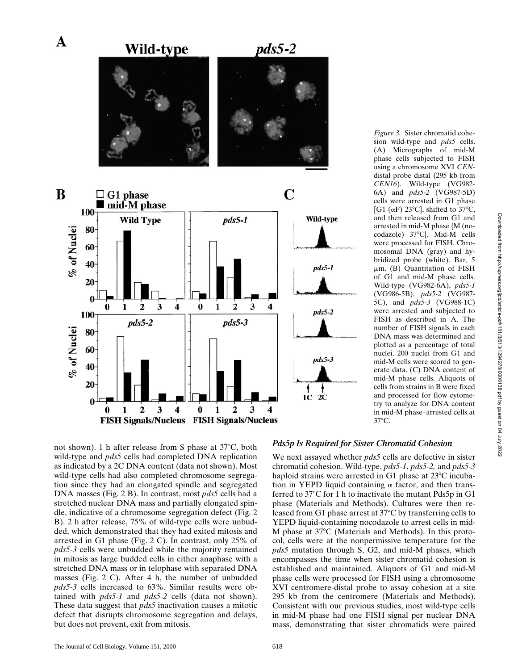

sion wild-type and *pds5* cells. (A) Micrographs of mid-M phase cells subjected to FISH using a chromosome XVI *CEN*distal probe distal (295 kb from *CEN16*). Wild-type (VG982- 6A) and *pds5-2* (VG987-5D) cells were arrested in G1 phase [G1 ( $\alpha$ F) 23°C], shifted to 37°C, and then released from G1 and arrested in mid-M phase {M (nocodazole) 37°C}. Mid-M cells were processed for FISH. Chromosomal DNA (gray) and hybridized probe (white). Bar, 5 mm. (B) Quantitation of FISH of G1 and mid-M phase cells. Wild-type (VG982-6A), *pds5-1* (VG986-5B), *pds5-2* (VG987- 5C), and *pds5-3* (VG988-1C) were arrested and subjected to FISH as described in A. The number of FISH signals in each DNA mass was determined and plotted as a percentage of total nuclei. 200 nuclei from G1 and mid-M cells were scored to generate data. (C) DNA content of mid-M phase cells. Aliquots of cells from strains in B were fixed and processed for flow cytometry to analyze for DNA content in mid-M phase–arrested cells at

Downloaded from http://rupress.org/jcb/article-pdf/151/3/613/1294278/0006138.pdf by guest on 04 July 2022

Downloaded from http://rupress.org/jcb/article-pdf/151/3/613/1294278/0006138.pdf by guest on 04 July 2022

*Figure 3.* Sister chromatid cohe-

not shown). 1 h after release from S phase at  $37^{\circ}$ C, both wild-type and *pds5* cells had completed DNA replication as indicated by a 2C DNA content (data not shown). Most wild-type cells had also completed chromosome segregation since they had an elongated spindle and segregated DNA masses (Fig. 2 B). In contrast, most *pds5* cells had a stretched nuclear DNA mass and partially elongated spindle, indicative of a chromosome segregation defect (Fig. 2 B). 2 h after release, 75% of wild-type cells were unbudded, which demonstrated that they had exited mitosis and arrested in G1 phase (Fig. 2 C). In contrast, only 25% of *pds5-3* cells were unbudded while the majority remained in mitosis as large budded cells in either anaphase with a stretched DNA mass or in telophase with separated DNA masses (Fig. 2 C). After 4 h, the number of unbudded *pds5-3* cells increased to 63%. Similar results were obtained with *pds5-1* and *pds5-2* cells (data not shown). These data suggest that *pds5* inactivation causes a mitotic defect that disrupts chromosome segregation and delays, but does not prevent, exit from mitosis.

#### *Pds5p Is Required for Sister Chromatid Cohesion*

 $37^{\circ}$ C.

We next assayed whether *pds5* cells are defective in sister chromatid cohesion. Wild-type, *pds5-1*, *pds5-2,* and *pds5-3* haploid strains were arrested in G1 phase at  $23^{\circ}$ C incubation in YEPD liquid containing  $\alpha$  factor, and then transferred to  $37^{\circ}$ C for 1 h to inactivate the mutant Pds5p in G1 phase (Materials and Methods). Cultures were then released from G1 phase arrest at  $37^{\circ}$ C by transferring cells to YEPD liquid-containing nocodazole to arrest cells in mid-M phase at  $37^{\circ}$ C (Materials and Methods). In this protocol, cells were at the nonpermissive temperature for the *pds5* mutation through S, G2, and mid-M phases, which encompasses the time when sister chromatid cohesion is established and maintained. Aliquots of G1 and mid-M phase cells were processed for FISH using a chromosome XVI centromere-distal probe to assay cohesion at a site 295 kb from the centromere (Materials and Methods). Consistent with our previous studies, most wild-type cells in mid-M phase had one FISH signal per nuclear DNA mass, demonstrating that sister chromatids were paired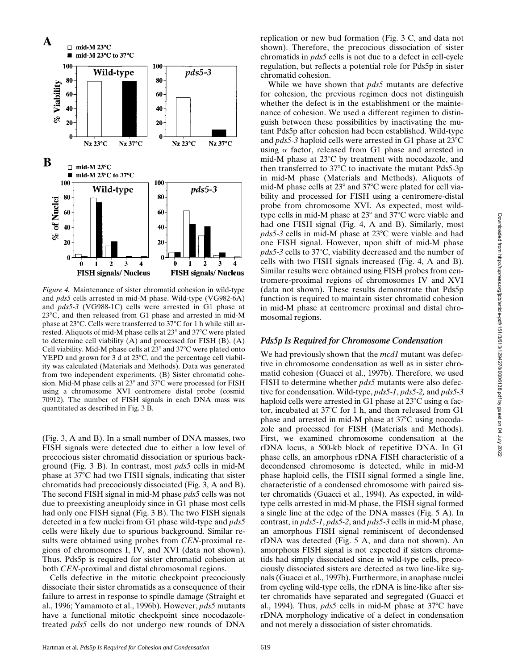

*Figure 4.* Maintenance of sister chromatid cohesion in wild-type and *pds5* cells arrested in mid-M phase. Wild-type (VG982-6A) and *pds5-3* (VG988-1C) cells were arrested in G1 phase at 23°C, and then released from G1 phase and arrested in mid-M phase at  $23^{\circ}$ C. Cells were transferred to  $37^{\circ}$ C for 1 h while still arrested. Aliquots of mid-M phase cells at  $23^{\circ}$  and  $37^{\circ}$ C were plated to determine cell viability (A) and processed for FISH (B). (A) Cell viability. Mid-M phase cells at  $23^{\circ}$  and  $37^{\circ}$ C were plated onto YEPD and grown for 3 d at  $23^{\circ}$ C, and the percentage cell viability was calculated (Materials and Methods). Data was generated from two independent experiments. (B) Sister chromatid cohesion. Mid-M phase cells at  $23^{\circ}$  and  $37^{\circ}$ C were processed for FISH using a chromosome XVI centromere distal probe (cosmid 70912). The number of FISH signals in each DNA mass was quantitated as described in Fig. 3 B.

(Fig. 3, A and B). In a small number of DNA masses, two FISH signals were detected due to either a low level of precocious sister chromatid dissociation or spurious background (Fig. 3 B). In contrast, most *pds5* cells in mid-M phase at  $37^{\circ}$ C had two FISH signals, indicating that sister chromatids had precociously dissociated (Fig. 3, A and B). The second FISH signal in mid-M phase *pds5* cells was not due to preexisting aneuploidy since in G1 phase most cells had only one FISH signal (Fig. 3 B). The two FISH signals detected in a few nuclei from G1 phase wild-type and *pds5* cells were likely due to spurious background. Similar results were obtained using probes from *CEN*-proximal regions of chromosomes I, IV, and XVI (data not shown). Thus, Pds5p is required for sister chromatid cohesion at both *CEN-*proximal and distal chromosomal regions.

Cells defective in the mitotic checkpoint precociously dissociate their sister chromatids as a consequence of their failure to arrest in response to spindle damage (Straight et al., 1996; Yamamoto et al., 1996b). However, *pds5* mutants have a functional mitotic checkpoint since nocodazoletreated *pds5* cells do not undergo new rounds of DNA

replication or new bud formation (Fig. 3 C, and data not shown). Therefore, the precocious dissociation of sister chromatids in *pds5* cells is not due to a defect in cell-cycle regulation, but reflects a potential role for Pds5p in sister chromatid cohesion.

While we have shown that *pds5* mutants are defective for cohesion, the previous regimen does not distinguish whether the defect is in the establishment or the maintenance of cohesion. We used a different regimen to distinguish between these possibilities by inactivating the mutant Pds5p after cohesion had been established. Wild-type and  $pds5-3$  haploid cells were arrested in G1 phase at  $23^{\circ}$ C using  $\alpha$  factor, released from G1 phase and arrested in mid-M phase at  $23^{\circ}$ C by treatment with nocodazole, and then transferred to  $37^{\circ}$ C to inactivate the mutant Pds5-3p in mid-M phase (Materials and Methods). Aliquots of mid-M phase cells at  $23^{\circ}$  and  $37^{\circ}$ C were plated for cell viability and processed for FISH using a centromere-distal probe from chromosome XVI. As expected, most wildtype cells in mid-M phase at  $23^{\circ}$  and  $37^{\circ}$ C were viable and had one FISH signal (Fig. 4, A and B). Similarly, most  $pds5-3$  cells in mid-M phase at  $23^{\circ}$ C were viable and had one FISH signal. However, upon shift of mid-M phase *pds5-3* cells to 37°C, viability decreased and the number of cells with two FISH signals increased (Fig. 4, A and B). Similar results were obtained using FISH probes from centromere-proximal regions of chromosomes IV and XVI (data not shown). These results demonstrate that Pds5p function is required to maintain sister chromatid cohesion in mid-M phase at centromere proximal and distal chromosomal regions.

#### *Pds5p Is Required for Chromosome Condensation*

We had previously shown that the *mcd1* mutant was defective in chromosome condensation as well as in sister chromatid cohesion (Guacci et al., 1997b). Therefore, we used FISH to determine whether *pds5* mutants were also defective for condensation. Wild-type, *pds5-1*, *pds5-2,* and *pds5-3* haploid cells were arrested in G1 phase at  $23^{\circ}$ C using  $\alpha$  factor, incubated at  $37^{\circ}$ C for 1 h, and then released from G1 phase and arrested in mid-M phase at  $37^{\circ}$ C using nocodazole and processed for FISH (Materials and Methods). First, we examined chromosome condensation at the rDNA locus, a 500-kb block of repetitive DNA. In G1 phase cells, an amorphous rDNA FISH characteristic of a decondensed chromosome is detected, while in mid-M phase haploid cells, the FISH signal formed a single line, characteristic of a condensed chromosome with paired sister chromatids (Guacci et al., 1994). As expected, in wildtype cells arrested in mid-M phase, the FISH signal formed a single line at the edge of the DNA masses (Fig. 5 A). In contrast, in *pds5-1*, *pds5-2*, and *pds5-3* cells in mid-M phase, an amorphous FISH signal reminiscent of decondensed rDNA was detected (Fig. 5 A, and data not shown). An amorphous FISH signal is not expected if sisters chromatids had simply dissociated since in wild-type cells, precociously dissociated sisters are detected as two line-like signals (Guacci et al., 1997b). Furthermore, in anaphase nuclei from cycling wild-type cells, the rDNA is line-like after sister chromatids have separated and segregated (Guacci et al., 1994). Thus, *pds5* cells in mid-M phase at 37°C have rDNA morphology indicative of a defect in condensation and not merely a dissociation of sister chromatids.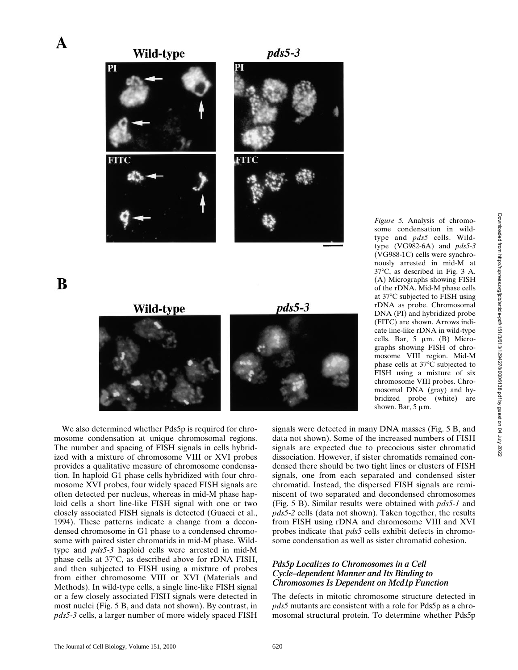*Figure 5.* Analysis of chromosome condensation in wildtype and *pds5* cells. Wildtype (VG982-6A) and *pds5-3* (VG988-1C) cells were synchronously arrested in mid-M at  $37^{\circ}$ C, as described in Fig. 3 A. (A) Micrographs showing FISH of the rDNA. Mid-M phase cells at 37°C subjected to FISH using rDNA as probe. Chromosomal DNA (PI) and hybridized probe (FITC) are shown. Arrows indicate line-like rDNA in wild-type cells. Bar,  $5 \mu m$ . (B) Micrographs showing FISH of chromosome VIII region. Mid-M phase cells at  $37^{\circ}$ C subjected to FISH using a mixture of six chromosome VIII probes. Chromosomal DNA (gray) and hybridized probe (white) are



A

B



We also determined whether Pds5p is required for chromosome condensation at unique chromosomal regions. The number and spacing of FISH signals in cells hybridized with a mixture of chromosome VIII or XVI probes provides a qualitative measure of chromosome condensation. In haploid G1 phase cells hybridized with four chromosome XVI probes, four widely spaced FISH signals are often detected per nucleus, whereas in mid-M phase haploid cells a short line-like FISH signal with one or two closely associated FISH signals is detected (Guacci et al., 1994). These patterns indicate a change from a decondensed chromosome in G1 phase to a condensed chromosome with paired sister chromatids in mid-M phase. Wildtype and *pds5-3* haploid cells were arrested in mid-M phase cells at  $37^{\circ}$ C, as described above for rDNA FISH, and then subjected to FISH using a mixture of probes from either chromosome VIII or XVI (Materials and Methods). In wild-type cells, a single line-like FISH signal or a few closely associated FISH signals were detected in most nuclei (Fig. 5 B, and data not shown). By contrast, in *pds5-3* cells, a larger number of more widely spaced FISH

signals were detected in many DNA masses (Fig. 5 B, and data not shown). Some of the increased numbers of FISH signals are expected due to precocious sister chromatid dissociation. However, if sister chromatids remained condensed there should be two tight lines or clusters of FISH signals, one from each separated and condensed sister chromatid. Instead, the dispersed FISH signals are reminiscent of two separated and decondensed chromosomes (Fig. 5 B). Similar results were obtained with *pds5-1* and *pds5-2* cells (data not shown). Taken together, the results from FISH using rDNA and chromosome VIII and XVI probes indicate that *pds5* cells exhibit defects in chromosome condensation as well as sister chromatid cohesion.

shown. Bar,  $5 \mu m$ .

#### *Pds5p Localizes to Chromosomes in a Cell Cycle–dependent Manner and Its Binding to Chromosomes Is Dependent on Mcd1p Function*

The defects in mitotic chromosome structure detected in *pds5* mutants are consistent with a role for Pds5p as a chromosomal structural protein. To determine whether Pds5p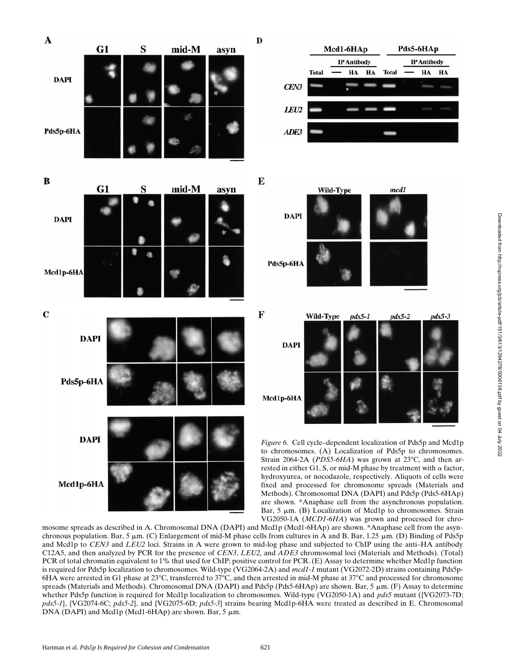

Downloaded from http://rupress.org/jcb/article-pdf/151/3/613/1294278/0006138.pdf by guest on 04 July 2022 Downloaded from http://rupress.org/jcb/article-pdf/151/3/613/1294278/0006138.pdf by guest on 04 July 2022

VG2050-1A (*MCD1-6HA*) was grown and processed for chromosome spreads as described in A. Chromosomal DNA (DAPI) and Mcd1p (Mcd1-6HAp) are shown. \*Anaphase cell from the asynchronous population. Bar,  $5 \mu m$ . (C) Enlargement of mid-M phase cells from cultures in A and B. Bar, 1.25  $\mu m$ . (D) Binding of Pds5p and Mcd1p to *CEN3* and *LEU2* loci. Strains in A were grown to mid-log phase and subjected to ChIP using the anti–HA antibody C12A5, and then analyzed by PCR for the presence of *CEN3*, *LEU2,* and *ADE3* chromosomal loci (Materials and Methods). (Total) PCR of total chromatin equivalent to 1% that used for ChIP; positive control for PCR. (E) Assay to determine whether Mcd1p function is required for Pds5p localization to chromosomes. Wild-type (VG2064-2A) and *mcd1-1* mutant (VG2072-2D) strains containing Pds5p-6HA were arrested in G1 phase at 23 $^{\circ}$ C, transferred to 37 $^{\circ}$ C, and then arrested in mid-M phase at 37 $^{\circ}$ C and processed for chromosome spreads (Materials and Methods). Chromosomal DNA (DAPI) and Pds5p (Pds5-6HAp) are shown. Bar, 5  $\mu$ m. (F) Assay to determine whether Pds5p function is required for Mcd1p localization to chromosomes. Wild-type (VG2050-1A) and *pds5* mutant ({VG2073-7D; *pds5-1*}, {VG2074-6C; *pds5-2*}, and {VG2075-6D; *pds5-3*} strains bearing Mcd1p-6HA were treated as described in E. Chromosomal DNA (DAPI) and Mcd1p (Mcd1-6HAp) are shown. Bar,  $5 \mu m$ .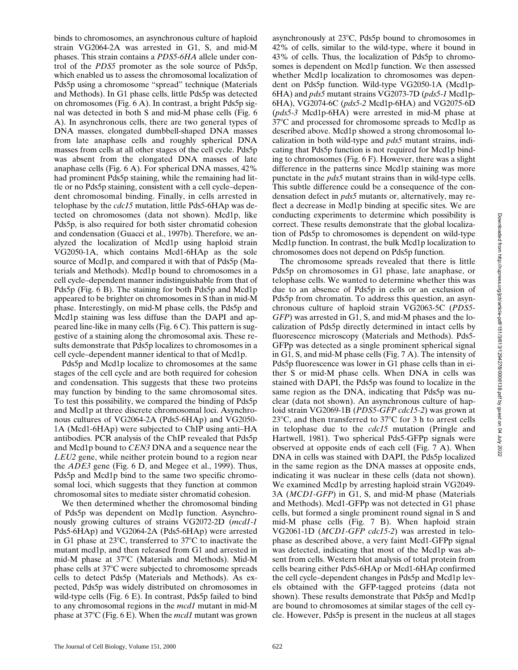binds to chromosomes, an asynchronous culture of haploid strain VG2064-2A was arrested in G1, S, and mid-M phases. This strain contains a *PDS5-6HA* allele under control of the *PDS5* promoter as the sole source of Pds5p, which enabled us to assess the chromosomal localization of Pds5p using a chromosome "spread" technique (Materials and Methods). In G1 phase cells, little Pds5p was detected on chromosomes (Fig. 6 A). In contrast, a bright Pds5p signal was detected in both S and mid-M phase cells (Fig. 6 A). In asynchronous cells, there are two general types of DNA masses, elongated dumbbell-shaped DNA masses from late anaphase cells and roughly spherical DNA masses from cells at all other stages of the cell cycle. Pds5p was absent from the elongated DNA masses of late anaphase cells (Fig. 6 A). For spherical DNA masses, 42% had prominent Pds5p staining, while the remaining had little or no Pds5p staining, consistent with a cell cycle–dependent chromosomal binding. Finally, in cells arrested in telophase by the *cdc15* mutation, little Pds5-6HAp was detected on chromosomes (data not shown). Mcd1p, like Pds5p, is also required for both sister chromatid cohesion and condensation (Guacci et al., 1997b). Therefore, we analyzed the localization of Mcd1p using haploid strain VG2050-1A, which contains Mcd1-6HAp as the sole source of Mcd1p, and compared it with that of Pds5p (Materials and Methods). Mcd1p bound to chromosomes in a cell cycle–dependent manner indistinguishable from that of Pds5p (Fig. 6 B). The staining for both Pds5p and Mcd1p appeared to be brighter on chromosomes in S than in mid-M phase. Interestingly, on mid-M phase cells, the Pds5p and Mcd1p staining was less diffuse than the DAPI and appeared line-like in many cells (Fig. 6 C). This pattern is suggestive of a staining along the chromosomal axis. These results demonstrate that Pds5p localizes to chromosomes in a cell cycle–dependent manner identical to that of Mcd1p.

Pds5p and Mcd1p localize to chromosomes at the same stages of the cell cycle and are both required for cohesion and condensation. This suggests that these two proteins may function by binding to the same chromosomal sites. To test this possibility, we compared the binding of Pds5p and Mcd1p at three discrete chromosomal loci. Asynchronous cultures of VG2064-2A (Pds5-6HAp) and VG2050- 1A (Mcd1-6HAp) were subjected to ChIP using anti–HA antibodies. PCR analysis of the ChIP revealed that Pds5p and Mcd1p bound to *CEN3* DNA and a sequence near the *LEU2* gene, while neither protein bound to a region near the *ADE3* gene (Fig. 6 D, and Megee et al., 1999). Thus, Pds5p and Mcd1p bind to the same two specific chromosomal loci, which suggests that they function at common chromosomal sites to mediate sister chromatid cohesion.

We then determined whether the chromosomal binding of Pds5p was dependent on Mcd1p function. Asynchronously growing cultures of strains VG2072-2D (*mcd1-1* Pds5-6HAp) and VG2064-2A (Pds5-6HAp) were arrested in G1 phase at  $23^{\circ}$ C, transferred to  $37^{\circ}$ C to inactivate the mutant mcd1p, and then released from G1 and arrested in mid-M phase at 37°C (Materials and Methods). Mid-M phase cells at 37°C were subjected to chromosome spreads cells to detect Pds5p (Materials and Methods). As expected, Pds5p was widely distributed on chromosomes in wild-type cells (Fig. 6 E). In contrast, Pds5p failed to bind to any chromosomal regions in the *mcd1* mutant in mid-M phase at 378C (Fig. 6 E). When the *mcd1* mutant was grown

asynchronously at  $23^{\circ}$ C, Pds5p bound to chromosomes in 42% of cells, similar to the wild-type, where it bound in 43% of cells. Thus, the localization of Pds5p to chromosomes is dependent on Mcd1p function. We then assessed whether Mcd1p localization to chromosomes was dependent on Pds5p function. Wild-type VG2050-1A (Mcd1p-6HA) and *pds5* mutant strains VG2073-7D (*pds5-1* Mcd1p-6HA), VG2074-6C (*pds5-2* Mcd1p-6HA) and VG2075-6D (*pds5-3* Mcd1p-6HA) were arrested in mid-M phase at 378C and processed for chromosome spreads to Mcd1p as described above. Mcd1p showed a strong chromosomal localization in both wild-type and *pds5* mutant strains, indicating that Pds5p function is not required for Mcd1p binding to chromosomes (Fig. 6 F). However, there was a slight difference in the patterns since Mcd1p staining was more punctate in the *pds5* mutant strains than in wild-type cells. This subtle difference could be a consequence of the condensation defect in *pds5* mutants or, alternatively, may reflect a decrease in Mcd1p binding at specific sites. We are conducting experiments to determine which possibility is correct. These results demonstrate that the global localization of Pds5p to chromosomes is dependent on wild-type Mcd1p function. In contrast, the bulk Mcd1p localization to chromosomes does not depend on Pds5p function.

The chromosome spreads revealed that there is little Pds5p on chromosomes in G1 phase, late anaphase, or telophase cells. We wanted to determine whether this was due to an absence of Pds5p in cells or an exclusion of Pds5p from chromatin. To address this question, an asynchronous culture of haploid strain VG2063-5C (*PDS5- GFP*) was arrested in G1, S, and mid-M phases and the localization of Pds5p directly determined in intact cells by fluorescence microscopy (Materials and Methods). Pds5- GFPp was detected as a single prominent spherical signal in G1, S, and mid-M phase cells (Fig. 7 A). The intensity of Pds5p fluorescence was lower in G1 phase cells than in either S or mid-M phase cells. When DNA in cells was stained with DAPI, the Pds5p was found to localize in the same region as the DNA, indicating that Pds5p was nuclear (data not shown). An asynchronous culture of haploid strain VG2069-1B (*PDS5-GFP cdc15-2*) was grown at 23 $^{\circ}$ C, and then transferred to 37 $^{\circ}$ C for 3 h to arrest cells in telophase due to the *cdc15* mutation (Pringle and Hartwell, 1981). Two spherical Pds5-GFPp signals were observed at opposite ends of each cell (Fig. 7 A). When DNA in cells was stained with DAPI, the Pds5p localized in the same region as the DNA masses at opposite ends, indicating it was nuclear in these cells (data not shown). We examined Mcd1p by arresting haploid strain VG2049- 3A (*MCD1-GFP*) in G1, S, and mid-M phase (Materials and Methods). Mcd1-GFPp was not detected in G1 phase cells, but formed a single prominent round signal in S and mid-M phase cells (Fig. 7 B). When haploid strain VG2061-1D (*MCD1-GFP cdc15-2*) was arrested in telophase as described above, a very faint Mcd1-GFPp signal was detected, indicating that most of the Mcd1p was absent from cells. Western blot analysis of total protein from cells bearing either Pds5-6HAp or Mcd1-6HAp confirmed the cell cycle–dependent changes in Pds5p and Mcd1p levels obtained with the GFP-tagged proteins (data not shown). These results demonstrate that Pds5p and Mcd1p are bound to chromosomes at similar stages of the cell cycle. However, Pds5p is present in the nucleus at all stages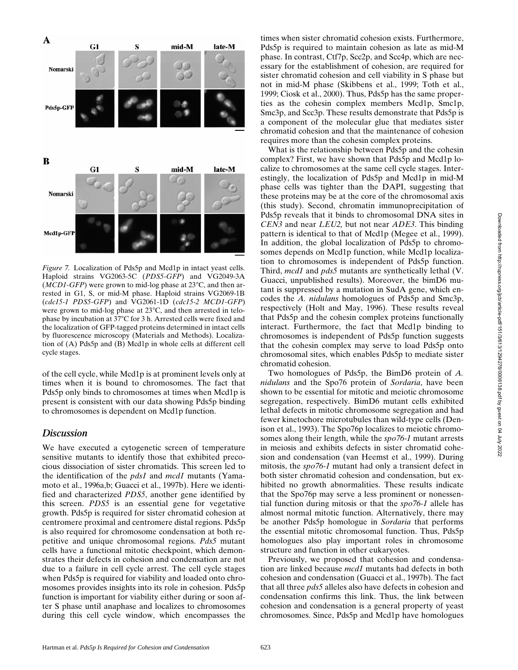

*Figure 7.* Localization of Pds5p and Mcd1p in intact yeast cells. Haploid strains VG2063-5C (*PDS5-GFP*) and VG2049-3A  $(MCD1-GFP)$  were grown to mid-log phase at  $23^{\circ}$ C, and then arrested in G1, S, or mid-M phase. Haploid strains VG2069-1B (*cdc15-1 PDS5-GFP*) and VG2061-1D (*cdc15-2 MCD1-GFP*) were grown to mid-log phase at  $23^{\circ}$ C, and then arrested in telophase by incubation at 37°C for 3 h. Arrested cells were fixed and the localization of GFP-tagged proteins determined in intact cells by fluorescence microscopy (Materials and Methods). Localization of (A) Pds5p and (B) Mcd1p in whole cells at different cell cycle stages.

of the cell cycle, while Mcd1p is at prominent levels only at times when it is bound to chromosomes. The fact that Pds5p only binds to chromosomes at times when Mcd1p is present is consistent with our data showing Pds5p binding to chromosomes is dependent on Mcd1p function.

#### *Discussion*

We have executed a cytogenetic screen of temperature sensitive mutants to identify those that exhibited precocious dissociation of sister chromatids. This screen led to the identification of the *pds1* and *mcd1* mutants (Yamamoto et al., 1996a,b; Guacci et al., 1997b). Here we identified and characterized *PDS5*, another gene identified by this screen. *PDS5* is an essential gene for vegetative growth. Pds5p is required for sister chromatid cohesion at centromere proximal and centromere distal regions. Pds5p is also required for chromosome condensation at both repetitive and unique chromosomal regions. *Pds5* mutant cells have a functional mitotic checkpoint, which demonstrates their defects in cohesion and condensation are not due to a failure in cell cycle arrest. The cell cycle stages when Pds5p is required for viability and loaded onto chromosomes provides insights into its role in cohesion. Pds5p function is important for viability either during or soon after S phase until anaphase and localizes to chromosomes during this cell cycle window, which encompasses the times when sister chromatid cohesion exists. Furthermore, Pds5p is required to maintain cohesion as late as mid-M phase. In contrast, Ctf7p, Scc2p, and Scc4p, which are necessary for the establishment of cohesion, are required for sister chromatid cohesion and cell viability in S phase but not in mid-M phase (Skibbens et al., 1999; Toth et al., 1999; Ciosk et al., 2000). Thus, Pds5p has the same properties as the cohesin complex members Mcd1p, Smc1p, Smc3p, and Scc3p. These results demonstrate that Pds5p is a component of the molecular glue that mediates sister chromatid cohesion and that the maintenance of cohesion requires more than the cohesin complex proteins.

What is the relationship between Pds5p and the cohesin complex? First, we have shown that Pds5p and Mcd1p localize to chromosomes at the same cell cycle stages. Interestingly, the localization of Pds5p and Mcd1p in mid-M phase cells was tighter than the DAPI, suggesting that these proteins may be at the core of the chromosomal axis (this study). Second, chromatin immunoprecipitation of Pds5p reveals that it binds to chromosomal DNA sites in *CEN3* and near *LEU2,* but not near *ADE3*. This binding pattern is identical to that of Mcd1p (Megee et al., 1999). In addition, the global localization of Pds5p to chromosomes depends on Mcd1p function, while Mcd1p localization to chromosomes is independent of Pds5p function. Third, *mcd1* and *pds5* mutants are synthetically lethal (V. Guacci, unpublished results). Moreover, the bimD6 mutant is suppressed by a mutation in SudA gene, which encodes the *A. nidulans* homologues of Pds5p and Smc3p, respectively (Holt and May, 1996). These results reveal that Pds5p and the cohesin complex proteins functionally interact. Furthermore, the fact that Mcd1p binding to chromosomes is independent of Pds5p function suggests that the cohesin complex may serve to load Pds5p onto chromosomal sites, which enables Pds5p to mediate sister chromatid cohesion.

Two homologues of Pds5p, the BimD6 protein of *A. nidulans* and the Spo76 protein of *Sordaria*, have been shown to be essential for mitotic and meiotic chromosome segregation, respectively. BimD6 mutant cells exhibited lethal defects in mitotic chromosome segregation and had fewer kinetochore microtubules than wild-type cells (Denison et al., 1993). The Spo76p localizes to meiotic chromosomes along their length, while the *spo76-1* mutant arrests in meiosis and exhibits defects in sister chromatid cohesion and condensation (van Heemst et al., 1999). During mitosis, the *spo76-1* mutant had only a transient defect in both sister chromatid cohesion and condensation, but exhibited no growth abnormalities. These results indicate that the Spo76p may serve a less prominent or nonessential function during mitosis or that the *spo76-1* allele has almost normal mitotic function. Alternatively, there may be another Pds5p homologue in *Sordaria* that performs the essential mitotic chromosomal function. Thus, Pds5p homologues also play important roles in chromosome structure and function in other eukaryotes.

Previously, we proposed that cohesion and condensation are linked because *mcd1* mutants had defects in both cohesion and condensation (Guacci et al., 1997b). The fact that all three *pds5* alleles also have defects in cohesion and condensation confirms this link. Thus, the link between cohesion and condensation is a general property of yeast chromosomes. Since, Pds5p and Mcd1p have homologues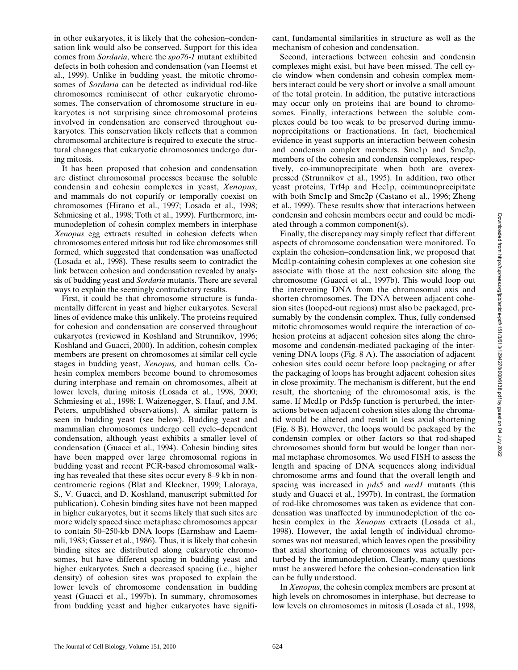in other eukaryotes, it is likely that the cohesion–condensation link would also be conserved. Support for this idea comes from *Sordaria*, where the *spo76-1* mutant exhibited defects in both cohesion and condensation (van Heemst et al., 1999). Unlike in budding yeast, the mitotic chromosomes of *Sordaria* can be detected as individual rod-like chromosomes reminiscent of other eukaryotic chromosomes. The conservation of chromosome structure in eukaryotes is not surprising since chromosomal proteins involved in condensation are conserved throughout eukaryotes. This conservation likely reflects that a common chromosomal architecture is required to execute the structural changes that eukaryotic chromosomes undergo during mitosis.

It has been proposed that cohesion and condensation are distinct chromosomal processes because the soluble condensin and cohesin complexes in yeast, *Xenopus*, and mammals do not copurify or temporally coexist on chromosomes (Hirano et al., 1997; Losada et al., 1998; Schmiesing et al., 1998; Toth et al., 1999). Furthermore, immunodepletion of cohesin complex members in interphase *Xenopus* egg extracts resulted in cohesion defects when chromosomes entered mitosis but rod like chromosomes still formed, which suggested that condensation was unaffected (Losada et al., 1998). These results seem to contradict the link between cohesion and condensation revealed by analysis of budding yeast and *Sordaria* mutants. There are several ways to explain the seemingly contradictory results.

First, it could be that chromosome structure is fundamentally different in yeast and higher eukaryotes. Several lines of evidence make this unlikely. The proteins required for cohesion and condensation are conserved throughout eukaryotes (reviewed in Koshland and Strunnikov, 1996; Koshland and Guacci, 2000). In addition, cohesin complex members are present on chromosomes at similar cell cycle stages in budding yeast, *Xenopus,* and human cells. Cohesin complex members become bound to chromosomes during interphase and remain on chromosomes, albeit at lower levels, during mitosis (Losada et al., 1998, 2000; Schmiesing et al., 1998; I. Waizenegger, S. Hauf, and J.M. Peters, unpublished observations). A similar pattern is seen in budding yeast (see below). Budding yeast and mammalian chromosomes undergo cell cycle–dependent condensation, although yeast exhibits a smaller level of condensation (Guacci et al., 1994). Cohesin binding sites have been mapped over large chromosomal regions in budding yeast and recent PCR-based chromosomal walking has revealed that these sites occur every 8–9 kb in noncentromeric regions (Blat and Kleckner, 1999; Laloraya, S., V. Guacci, and D. Koshland, manuscript submitted for publication). Cohesin binding sites have not been mapped in higher eukaryotes, but it seems likely that such sites are more widely spaced since metaphase chromosomes appear to contain 50–250-kb DNA loops (Earnshaw and Laemmli, 1983; Gasser et al., 1986). Thus, it is likely that cohesin binding sites are distributed along eukaryotic chromosomes, but have different spacing in budding yeast and higher eukaryotes. Such a decreased spacing (i.e., higher density) of cohesion sites was proposed to explain the lower levels of chromosome condensation in budding yeast (Guacci et al., 1997b). In summary, chromosomes from budding yeast and higher eukaryotes have significant, fundamental similarities in structure as well as the mechanism of cohesion and condensation.

Second, interactions between cohesin and condensin complexes might exist, but have been missed. The cell cycle window when condensin and cohesin complex members interact could be very short or involve a small amount of the total protein. In addition, the putative interactions may occur only on proteins that are bound to chromosomes. Finally, interactions between the soluble complexes could be too weak to be preserved during immunoprecipitations or fractionations. In fact, biochemical evidence in yeast supports an interaction between cohesin and condensin complex members. Smc1p and Smc2p, members of the cohesin and condensin complexes, respectively, co-immunoprecipitate when both are overexpressed (Strunnikov et al., 1995). In addition, two other yeast proteins, Trf4p and Hec1p, coimmunoprecipitate with both Smc1p and Smc2p (Castano et al., 1996; Zheng et al., 1999). These results show that interactions between condensin and cohesin members occur and could be mediated through a common component(s).

Finally, the discrepancy may simply reflect that different aspects of chromosome condensation were monitored. To explain the cohesion–condensation link, we proposed that Mcd1p-containing cohesin complexes at one cohesion site associate with those at the next cohesion site along the chromosome (Guacci et al., 1997b). This would loop out the intervening DNA from the chromosomal axis and shorten chromosomes. The DNA between adjacent cohesion sites (looped-out regions) must also be packaged, presumably by the condensin complex. Thus, fully condensed mitotic chromosomes would require the interaction of cohesion proteins at adjacent cohesion sites along the chromosome and condensin-mediated packaging of the intervening DNA loops (Fig. 8 A). The association of adjacent cohesion sites could occur before loop packaging or after the packaging of loops has brought adjacent cohesion sites in close proximity. The mechanism is different, but the end result, the shortening of the chromosomal axis, is the same. If Mcd1p or Pds5p function is perturbed, the interactions between adjacent cohesion sites along the chromatid would be altered and result in less axial shortening (Fig. 8 B). However, the loops would be packaged by the condensin complex or other factors so that rod-shaped chromosomes should form but would be longer than normal metaphase chromosomes. We used FISH to assess the length and spacing of DNA sequences along individual chromosome arms and found that the overall length and spacing was increased in *pds5* and *mcd1* mutants (this study and Guacci et al., 1997b). In contrast, the formation of rod-like chromosomes was taken as evidence that condensation was unaffected by immunodepletion of the cohesin complex in the *Xenopus* extracts (Losada et al., 1998). However, the axial length of individual chromosomes was not measured, which leaves open the possibility that axial shortening of chromosomes was actually perturbed by the immunodepletion. Clearly, many questions must be answered before the cohesion–condensation link can be fully understood.

In *Xenopus*, the cohesin complex members are present at high levels on chromosomes in interphase, but decrease to low levels on chromosomes in mitosis (Losada et al., 1998,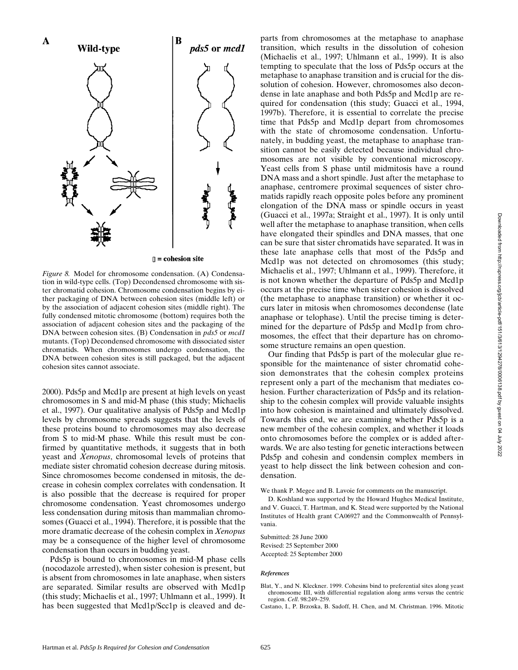

*Figure 8.* Model for chromosome condensation. (A) Condensation in wild-type cells. (Top) Decondensed chromosome with sister chromatid cohesion. Chromosome condensation begins by either packaging of DNA between cohesion sites (middle left) or by the association of adjacent cohesion sites (middle right). The fully condensed mitotic chromosome (bottom) requires both the association of adjacent cohesion sites and the packaging of the DNA between cohesion sites. (B) Condensation in *pds5* or *mcd1* mutants. (Top) Decondensed chromosome with dissociated sister chromatids. When chromosomes undergo condensation, the DNA between cohesion sites is still packaged, but the adjacent cohesion sites cannot associate.

2000). Pds5p and Mcd1p are present at high levels on yeast chromosomes in S and mid-M phase (this study; Michaelis et al., 1997). Our qualitative analysis of Pds5p and Mcd1p levels by chromosome spreads suggests that the levels of these proteins bound to chromosomes may also decrease from S to mid-M phase. While this result must be confirmed by quantitative methods, it suggests that in both yeast and *Xenopus*, chromosomal levels of proteins that mediate sister chromatid cohesion decrease during mitosis. Since chromosomes become condensed in mitosis, the decrease in cohesin complex correlates with condensation. It is also possible that the decrease is required for proper chromosome condensation. Yeast chromosomes undergo less condensation during mitosis than mammalian chromosomes (Guacci et al., 1994). Therefore, it is possible that the more dramatic decrease of the cohesin complex in *Xenopus* may be a consequence of the higher level of chromosome condensation than occurs in budding yeast.

Pds5p is bound to chromosomes in mid-M phase cells (nocodazole arrested), when sister cohesion is present, but is absent from chromosomes in late anaphase, when sisters are separated. Similar results are observed with Mcd1p (this study; Michaelis et al., 1997; Uhlmann et al., 1999). It has been suggested that Mcd1p/Scc1p is cleaved and departs from chromosomes at the metaphase to anaphase transition, which results in the dissolution of cohesion (Michaelis et al., 1997; Uhlmann et al., 1999). It is also tempting to speculate that the loss of Pds5p occurs at the metaphase to anaphase transition and is crucial for the dissolution of cohesion. However, chromosomes also decondense in late anaphase and both Pds5p and Mcd1p are required for condensation (this study; Guacci et al., 1994, 1997b). Therefore, it is essential to correlate the precise time that Pds5p and Mcd1p depart from chromosomes with the state of chromosome condensation. Unfortunately, in budding yeast, the metaphase to anaphase transition cannot be easily detected because individual chromosomes are not visible by conventional microscopy. Yeast cells from S phase until midmitosis have a round DNA mass and a short spindle. Just after the metaphase to anaphase, centromere proximal sequences of sister chromatids rapidly reach opposite poles before any prominent elongation of the DNA mass or spindle occurs in yeast (Guacci et al., 1997a; Straight et al., 1997). It is only until well after the metaphase to anaphase transition, when cells have elongated their spindles and DNA masses, that one can be sure that sister chromatids have separated. It was in these late anaphase cells that most of the Pds5p and Mcd1p was not detected on chromosomes (this study; Michaelis et al., 1997; Uhlmann et al., 1999). Therefore, it is not known whether the departure of Pds5p and Mcd1p occurs at the precise time when sister cohesion is dissolved (the metaphase to anaphase transition) or whether it occurs later in mitosis when chromosomes decondense (late anaphase or telophase). Until the precise timing is determined for the departure of Pds5p and Mcd1p from chromosomes, the effect that their departure has on chromosome structure remains an open question.

Our finding that Pds5p is part of the molecular glue responsible for the maintenance of sister chromatid cohesion demonstrates that the cohesin complex proteins represent only a part of the mechanism that mediates cohesion. Further characterization of Pds5p and its relationship to the cohesin complex will provide valuable insights into how cohesion is maintained and ultimately dissolved. Towards this end, we are examining whether Pds5p is a new member of the cohesin complex, and whether it loads onto chromosomes before the complex or is added afterwards. We are also testing for genetic interactions between Pds5p and cohesin and condensin complex members in yeast to help dissect the link between cohesion and condensation.

We thank P. Megee and B. Lavoie for comments on the manuscript.

D. Koshland was supported by the Howard Hughes Medical Institute, and V. Guacci, T. Hartman, and K. Stead were supported by the National Institutes of Health grant CA06927 and the Commonwealth of Pennsylvania.

Submitted: 28 June 2000 Revised: 25 September 2000 Accepted: 25 September 2000

#### *References*

Blat, Y., and N. Kleckner. 1999. Cohesins bind to preferential sites along yeast chromosome III, with differential regulation along arms versus the centric region. *Cell*. 98:249–259.

Castano, I., P. Brzoska, B. Sadoff, H. Chen, and M. Christman. 1996. Mitotic